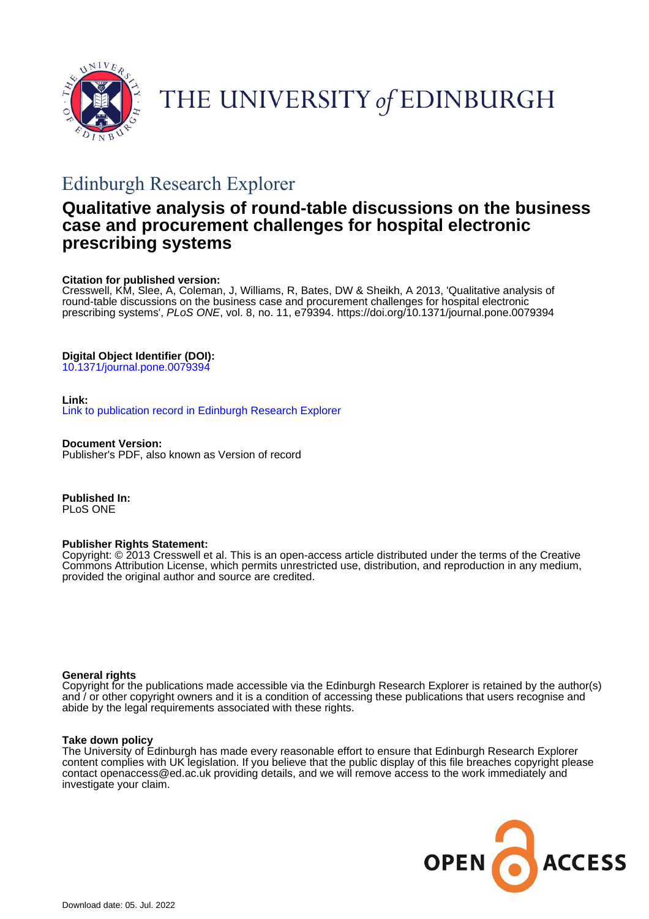

# THE UNIVERSITY of EDINBURGH

## Edinburgh Research Explorer

## **Qualitative analysis of round-table discussions on the business case and procurement challenges for hospital electronic prescribing systems**

## **Citation for published version:**

Cresswell, KM, Slee, A, Coleman, J, Williams, R, Bates, DW & Sheikh, A 2013, 'Qualitative analysis of round-table discussions on the business case and procurement challenges for hospital electronic prescribing systems', PLoS ONE, vol. 8, no. 11, e79394.<https://doi.org/10.1371/journal.pone.0079394>

## **Digital Object Identifier (DOI):**

[10.1371/journal.pone.0079394](https://doi.org/10.1371/journal.pone.0079394)

## **Link:**

[Link to publication record in Edinburgh Research Explorer](https://www.research.ed.ac.uk/en/publications/edbea5be-c83f-4b33-ac33-ad7902138b20)

**Document Version:** Publisher's PDF, also known as Version of record

**Published In:** PLoS ONE

## **Publisher Rights Statement:**

Copyright: © 2013 Cresswell et al. This is an open-access article distributed under the terms of the Creative Commons Attribution License, which permits unrestricted use, distribution, and reproduction in any medium, provided the original author and source are credited.

## **General rights**

Copyright for the publications made accessible via the Edinburgh Research Explorer is retained by the author(s) and / or other copyright owners and it is a condition of accessing these publications that users recognise and abide by the legal requirements associated with these rights.

## **Take down policy**

The University of Edinburgh has made every reasonable effort to ensure that Edinburgh Research Explorer content complies with UK legislation. If you believe that the public display of this file breaches copyright please contact openaccess@ed.ac.uk providing details, and we will remove access to the work immediately and investigate your claim.

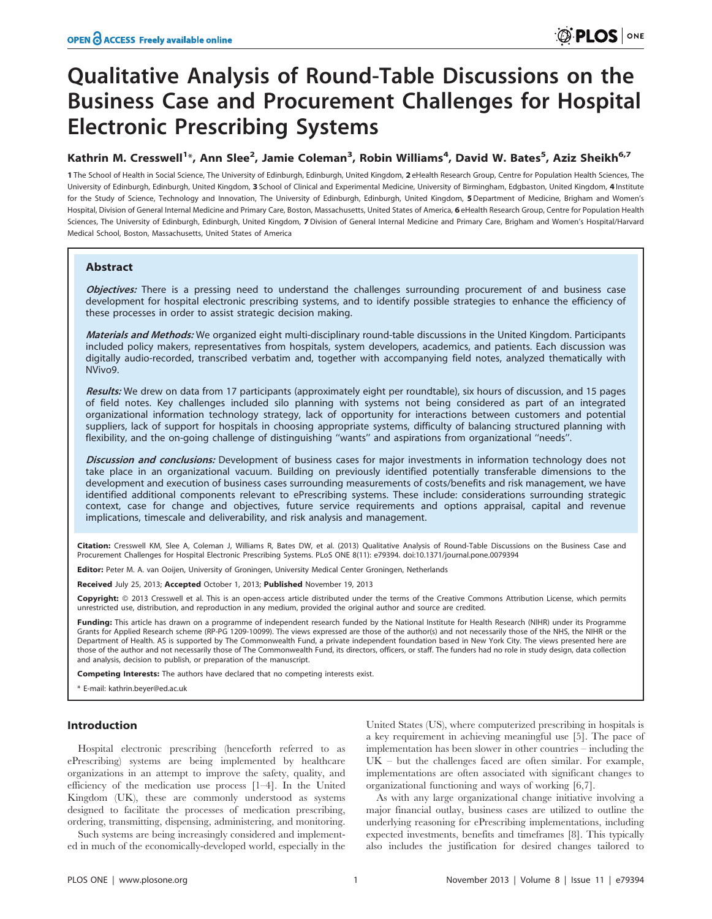## Qualitative Analysis of Round-Table Discussions on the Business Case and Procurement Challenges for Hospital Electronic Prescribing Systems

## Kathrin M. Cresswell<sup>1</sup>\*, Ann Slee<sup>2</sup>, Jamie Coleman<sup>3</sup>, Robin Williams<sup>4</sup>, David W. Bates<sup>5</sup>, Aziz Sheikh<sup>6,7</sup>

1 The School of Health in Social Science, The University of Edinburgh, Edinburgh, United Kingdom, 2 eHealth Research Group, Centre for Population Health Sciences, The University of Edinburgh, Edinburgh, United Kingdom, 3 School of Clinical and Experimental Medicine, University of Birmingham, Edgbaston, United Kingdom, 4 Institute for the Study of Science, Technology and Innovation, The University of Edinburgh, Edinburgh, United Kingdom, 5 Department of Medicine, Brigham and Women's Hospital, Division of General Internal Medicine and Primary Care, Boston, Massachusetts, United States of America, 6 eHealth Research Group, Centre for Population Health Sciences, The University of Edinburgh, Edinburgh, United Kingdom, 7 Division of General Internal Medicine and Primary Care, Brigham and Women's Hospital/Harvard Medical School, Boston, Massachusetts, United States of America

### Abstract

Objectives: There is a pressing need to understand the challenges surrounding procurement of and business case development for hospital electronic prescribing systems, and to identify possible strategies to enhance the efficiency of these processes in order to assist strategic decision making.

Materials and Methods: We organized eight multi-disciplinary round-table discussions in the United Kingdom. Participants included policy makers, representatives from hospitals, system developers, academics, and patients. Each discussion was digitally audio-recorded, transcribed verbatim and, together with accompanying field notes, analyzed thematically with NVivo9.

Results: We drew on data from 17 participants (approximately eight per roundtable), six hours of discussion, and 15 pages of field notes. Key challenges included silo planning with systems not being considered as part of an integrated organizational information technology strategy, lack of opportunity for interactions between customers and potential suppliers, lack of support for hospitals in choosing appropriate systems, difficulty of balancing structured planning with flexibility, and the on-going challenge of distinguishing "wants" and aspirations from organizational "needs".

Discussion and conclusions: Development of business cases for major investments in information technology does not take place in an organizational vacuum. Building on previously identified potentially transferable dimensions to the development and execution of business cases surrounding measurements of costs/benefits and risk management, we have identified additional components relevant to ePrescribing systems. These include: considerations surrounding strategic context, case for change and objectives, future service requirements and options appraisal, capital and revenue implications, timescale and deliverability, and risk analysis and management.

Citation: Cresswell KM, Slee A, Coleman J, Williams R, Bates DW, et al. (2013) Qualitative Analysis of Round-Table Discussions on the Business Case and Procurement Challenges for Hospital Electronic Prescribing Systems. PLoS ONE 8(11): e79394. doi:10.1371/journal.pone.0079394

Editor: Peter M. A. van Ooijen, University of Groningen, University Medical Center Groningen, Netherlands

Received July 25, 2013; Accepted October 1, 2013; Published November 19, 2013

Copyright: © 2013 Cresswell et al. This is an open-access article distributed under the terms of the Creative Commons Attribution License, which permits unrestricted use, distribution, and reproduction in any medium, provided the original author and source are credited.

Funding: This article has drawn on a programme of independent research funded by the National Institute for Health Research (NIHR) under its Programme Grants for Applied Research scheme (RP-PG 1209-10099). The views expressed are those of the author(s) and not necessarily those of the NHS, the NIHR or the Department of Health. AS is supported by The Commonwealth Fund, a private independent foundation based in New York City. The views presented here are those of the author and not necessarily those of The Commonwealth Fund, its directors, officers, or staff. The funders had no role in study design, data collection and analysis, decision to publish, or preparation of the manuscript.

Competing Interests: The authors have declared that no competing interests exist.

\* E-mail: kathrin.beyer@ed.ac.uk

#### Introduction

Hospital electronic prescribing (henceforth referred to as ePrescribing) systems are being implemented by healthcare organizations in an attempt to improve the safety, quality, and efficiency of the medication use process [1–4]. In the United Kingdom (UK), these are commonly understood as systems designed to facilitate the processes of medication prescribing, ordering, transmitting, dispensing, administering, and monitoring.

Such systems are being increasingly considered and implemented in much of the economically-developed world, especially in the

United States (US), where computerized prescribing in hospitals is a key requirement in achieving meaningful use [5]. The pace of implementation has been slower in other countries – including the UK – but the challenges faced are often similar. For example, implementations are often associated with significant changes to organizational functioning and ways of working [6,7].

As with any large organizational change initiative involving a major financial outlay, business cases are utilized to outline the underlying reasoning for ePrescribing implementations, including expected investments, benefits and timeframes [8]. This typically also includes the justification for desired changes tailored to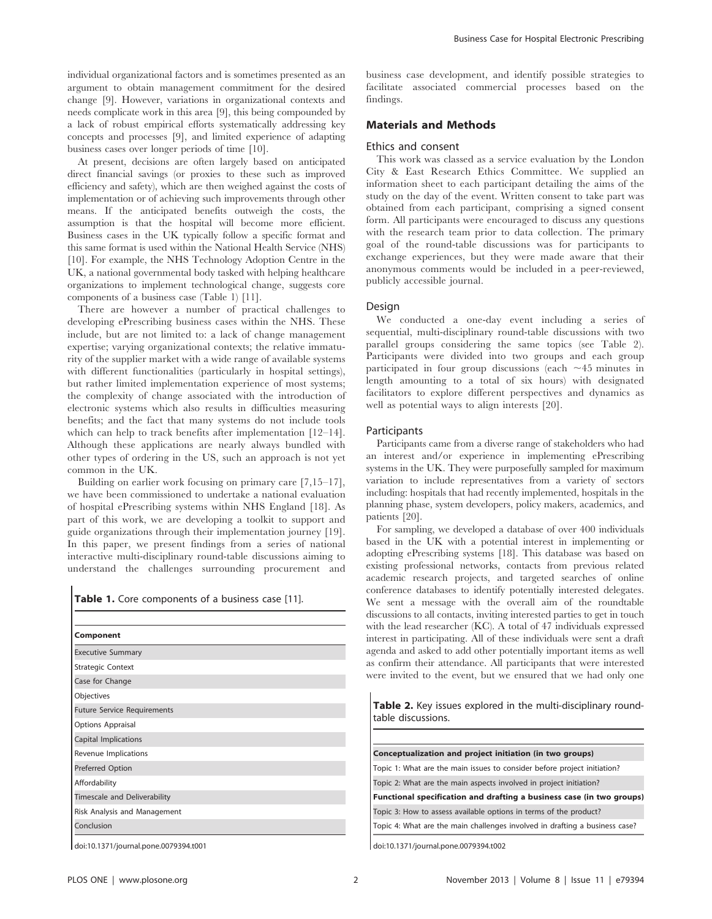individual organizational factors and is sometimes presented as an argument to obtain management commitment for the desired change [9]. However, variations in organizational contexts and needs complicate work in this area [9], this being compounded by a lack of robust empirical efforts systematically addressing key concepts and processes [9], and limited experience of adapting business cases over longer periods of time [10].

At present, decisions are often largely based on anticipated direct financial savings (or proxies to these such as improved efficiency and safety), which are then weighed against the costs of implementation or of achieving such improvements through other means. If the anticipated benefits outweigh the costs, the assumption is that the hospital will become more efficient. Business cases in the UK typically follow a specific format and this same format is used within the National Health Service (NHS) [10]. For example, the NHS Technology Adoption Centre in the UK, a national governmental body tasked with helping healthcare organizations to implement technological change, suggests core components of a business case (Table 1) [11].

There are however a number of practical challenges to developing ePrescribing business cases within the NHS. These include, but are not limited to: a lack of change management expertise; varying organizational contexts; the relative immaturity of the supplier market with a wide range of available systems with different functionalities (particularly in hospital settings), but rather limited implementation experience of most systems; the complexity of change associated with the introduction of electronic systems which also results in difficulties measuring benefits; and the fact that many systems do not include tools which can help to track benefits after implementation [12–14]. Although these applications are nearly always bundled with other types of ordering in the US, such an approach is not yet common in the UK.

Building on earlier work focusing on primary care [7,15–17], we have been commissioned to undertake a national evaluation of hospital ePrescribing systems within NHS England [18]. As part of this work, we are developing a toolkit to support and guide organizations through their implementation journey [19]. In this paper, we present findings from a series of national interactive multi-disciplinary round-table discussions aiming to understand the challenges surrounding procurement and

Table 1. Core components of a business case [11].

| Component                          |  |
|------------------------------------|--|
|                                    |  |
| <b>Executive Summary</b>           |  |
| <b>Strategic Context</b>           |  |
| Case for Change                    |  |
| Objectives                         |  |
| <b>Future Service Requirements</b> |  |
| Options Appraisal                  |  |
| Capital Implications               |  |
| Revenue Implications               |  |
| Preferred Option                   |  |
| Affordability                      |  |
| Timescale and Deliverability       |  |
| Risk Analysis and Management       |  |
| Conclusion                         |  |

doi:10.1371/journal.pone.0079394.t001

business case development, and identify possible strategies to facilitate associated commercial processes based on the findings.

#### Materials and Methods

#### Ethics and consent

This work was classed as a service evaluation by the London City & East Research Ethics Committee. We supplied an information sheet to each participant detailing the aims of the study on the day of the event. Written consent to take part was obtained from each participant, comprising a signed consent form. All participants were encouraged to discuss any questions with the research team prior to data collection. The primary goal of the round-table discussions was for participants to exchange experiences, but they were made aware that their anonymous comments would be included in a peer-reviewed, publicly accessible journal.

#### Design

We conducted a one-day event including a series of sequential, multi-disciplinary round-table discussions with two parallel groups considering the same topics (see Table 2). Participants were divided into two groups and each group participated in four group discussions (each  $\sim$  45 minutes in length amounting to a total of six hours) with designated facilitators to explore different perspectives and dynamics as well as potential ways to align interests [20].

#### **Participants**

Participants came from a diverse range of stakeholders who had an interest and/or experience in implementing ePrescribing systems in the UK. They were purposefully sampled for maximum variation to include representatives from a variety of sectors including: hospitals that had recently implemented, hospitals in the planning phase, system developers, policy makers, academics, and patients [20].

For sampling, we developed a database of over 400 individuals based in the UK with a potential interest in implementing or adopting ePrescribing systems [18]. This database was based on existing professional networks, contacts from previous related academic research projects, and targeted searches of online conference databases to identify potentially interested delegates. We sent a message with the overall aim of the roundtable discussions to all contacts, inviting interested parties to get in touch with the lead researcher (KC). A total of 47 individuals expressed interest in participating. All of these individuals were sent a draft agenda and asked to add other potentially important items as well as confirm their attendance. All participants that were interested were invited to the event, but we ensured that we had only one

Table 2. Key issues explored in the multi-disciplinary roundtable discussions.

| Conceptualization and project initiation (in two groups)                    |
|-----------------------------------------------------------------------------|
| Topic 1: What are the main issues to consider before project initiation?    |
| Topic 2: What are the main aspects involved in project initiation?          |
| Functional specification and drafting a business case (in two groups)       |
| Topic 3: How to assess available options in terms of the product?           |
| Topic 4: What are the main challenges involved in drafting a business case? |
|                                                                             |

doi:10.1371/journal.pone.0079394.t002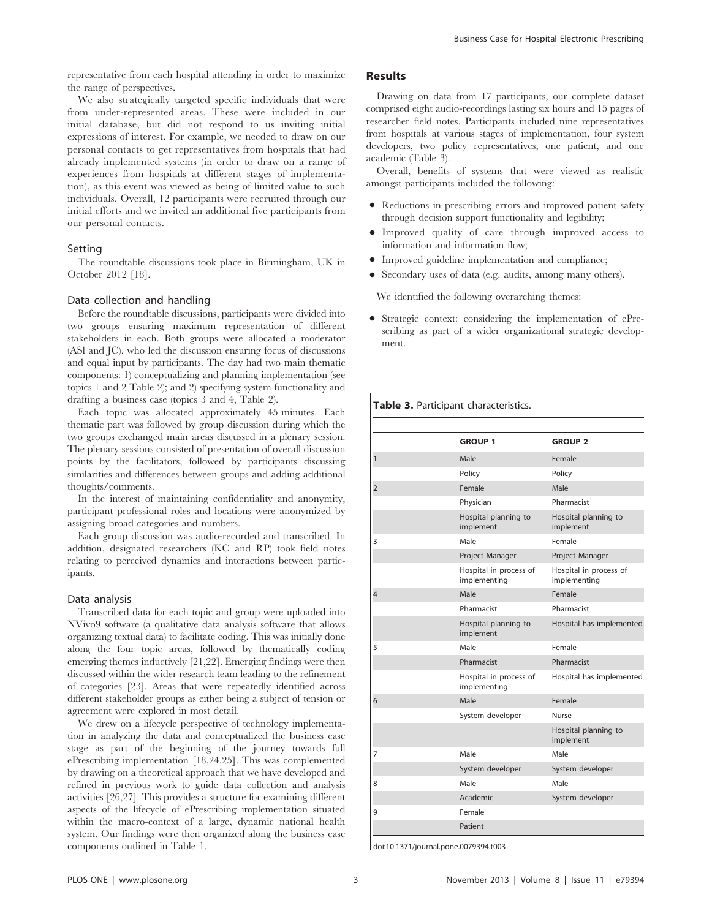representative from each hospital attending in order to maximize the range of perspectives.

We also strategically targeted specific individuals that were from under-represented areas. These were included in our initial database, but did not respond to us inviting initial expressions of interest. For example, we needed to draw on our personal contacts to get representatives from hospitals that had already implemented systems (in order to draw on a range of experiences from hospitals at different stages of implementation), as this event was viewed as being of limited value to such individuals. Overall, 12 participants were recruited through our initial efforts and we invited an additional five participants from our personal contacts.

#### Setting

The roundtable discussions took place in Birmingham, UK in October 2012 [18].

#### Data collection and handling

Before the roundtable discussions, participants were divided into two groups ensuring maximum representation of different stakeholders in each. Both groups were allocated a moderator (ASl and JC), who led the discussion ensuring focus of discussions and equal input by participants. The day had two main thematic components: 1) conceptualizing and planning implementation (see topics 1 and 2 Table 2); and 2) specifying system functionality and drafting a business case (topics 3 and 4, Table 2).

Each topic was allocated approximately 45 minutes. Each thematic part was followed by group discussion during which the two groups exchanged main areas discussed in a plenary session. The plenary sessions consisted of presentation of overall discussion points by the facilitators, followed by participants discussing similarities and differences between groups and adding additional thoughts/comments.

In the interest of maintaining confidentiality and anonymity, participant professional roles and locations were anonymized by assigning broad categories and numbers.

Each group discussion was audio-recorded and transcribed. In addition, designated researchers (KC and RP) took field notes relating to perceived dynamics and interactions between participants.

#### Data analysis

Transcribed data for each topic and group were uploaded into NVivo9 software (a qualitative data analysis software that allows organizing textual data) to facilitate coding. This was initially done along the four topic areas, followed by thematically coding emerging themes inductively [21,22]. Emerging findings were then discussed within the wider research team leading to the refinement of categories [23]. Areas that were repeatedly identified across different stakeholder groups as either being a subject of tension or agreement were explored in most detail.

We drew on a lifecycle perspective of technology implementation in analyzing the data and conceptualized the business case stage as part of the beginning of the journey towards full ePrescribing implementation [18,24,25]. This was complemented by drawing on a theoretical approach that we have developed and refined in previous work to guide data collection and analysis activities [26,27]. This provides a structure for examining different aspects of the lifecycle of ePrescribing implementation situated within the macro-context of a large, dynamic national health system. Our findings were then organized along the business case components outlined in Table 1.

#### Results

Drawing on data from 17 participants, our complete dataset comprised eight audio-recordings lasting six hours and 15 pages of researcher field notes. Participants included nine representatives from hospitals at various stages of implementation, four system developers, two policy representatives, one patient, and one academic (Table 3).

Overall, benefits of systems that were viewed as realistic amongst participants included the following:

- Reductions in prescribing errors and improved patient safety through decision support functionality and legibility;
- N Improved quality of care through improved access to information and information flow;
- $\bullet$  Improved guideline implementation and compliance;
- Secondary uses of data (e.g. audits, among many others).

We identified the following overarching themes:

• Strategic context: considering the implementation of ePrescribing as part of a wider organizational strategic development.

#### Table 3. Participant characteristics.

|                | <b>GROUP 1</b>                         | <b>GROUP 2</b>                         |
|----------------|----------------------------------------|----------------------------------------|
| $\mathbf{1}$   | Male                                   | Female                                 |
|                | Policy                                 | Policy                                 |
| $\overline{2}$ | Female                                 | Male                                   |
|                | Physician                              | Pharmacist                             |
|                | Hospital planning to<br>implement      | Hospital planning to<br>implement      |
| 3              | Male                                   | Female                                 |
|                | Project Manager                        | Project Manager                        |
|                | Hospital in process of<br>implementing | Hospital in process of<br>implementing |
| 4              | Male                                   | Female                                 |
|                | Pharmacist                             | Pharmacist                             |
|                | Hospital planning to<br>implement      | Hospital has implemented               |
| 5              | Male                                   | Female                                 |
|                | Pharmacist                             | Pharmacist                             |
|                | Hospital in process of<br>implementing | Hospital has implemented               |
| 6              | Male                                   | Female                                 |
|                | System developer                       | <b>Nurse</b>                           |
|                |                                        | Hospital planning to<br>implement      |
| 7              | Male                                   | Male                                   |
|                | System developer                       | System developer                       |
| 8              | Male                                   | Male                                   |
|                | Academic                               | System developer                       |
| 9              | Female                                 |                                        |
|                | Patient                                |                                        |

doi:10.1371/journal.pone.0079394.t003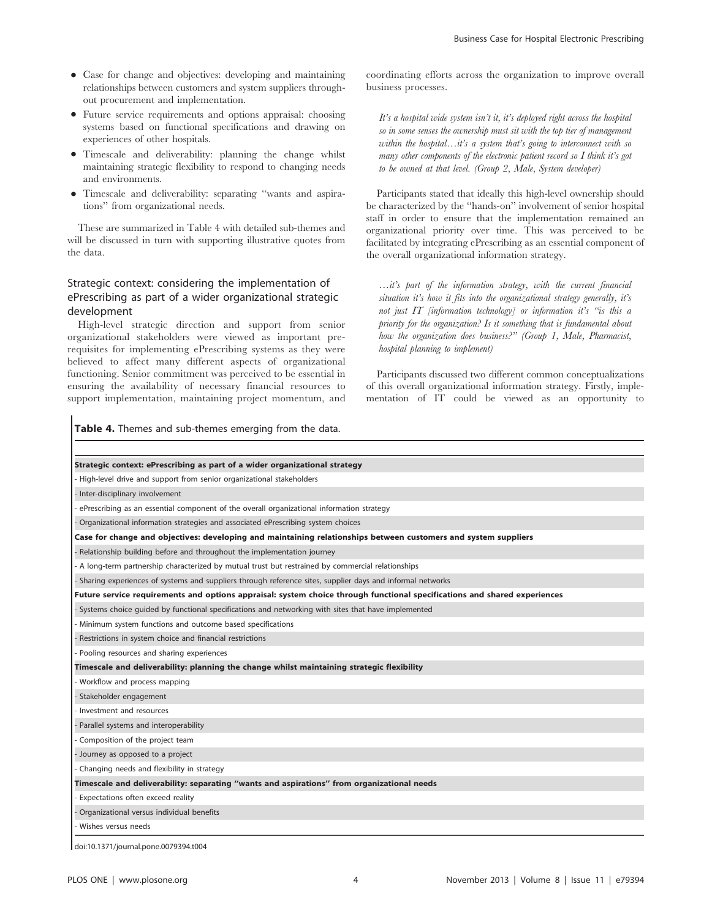- Case for change and objectives: developing and maintaining relationships between customers and system suppliers throughout procurement and implementation.
- Future service requirements and options appraisal: choosing systems based on functional specifications and drawing on experiences of other hospitals.
- N Timescale and deliverability: planning the change whilst maintaining strategic flexibility to respond to changing needs and environments.
- N Timescale and deliverability: separating ''wants and aspirations'' from organizational needs.

These are summarized in Table 4 with detailed sub-themes and will be discussed in turn with supporting illustrative quotes from the data.

## Strategic context: considering the implementation of ePrescribing as part of a wider organizational strategic development

High-level strategic direction and support from senior organizational stakeholders were viewed as important prerequisites for implementing ePrescribing systems as they were believed to affect many different aspects of organizational functioning. Senior commitment was perceived to be essential in ensuring the availability of necessary financial resources to support implementation, maintaining project momentum, and

Table 4. Themes and sub-themes emerging from the data.

coordinating efforts across the organization to improve overall business processes.

It's a hospital wide system isn't it, it's deployed right across the hospital so in some senses the ownership must sit with the top tier of management within the hospital…it's a system that's going to interconnect with so many other components of the electronic patient record so I think it's got to be owned at that level. (Group 2, Male, System developer)

Participants stated that ideally this high-level ownership should be characterized by the ''hands-on'' involvement of senior hospital staff in order to ensure that the implementation remained an organizational priority over time. This was perceived to be facilitated by integrating ePrescribing as an essential component of the overall organizational information strategy.

…it's part of the information strategy, with the current financial situation it's how it fits into the organizational strategy generally, it's not just IT [information technology] or information it's ''is this a priority for the organization? Is it something that is fundamental about how the organization does business.<sup>222</sup> (Group 1, Male, Pharmacist, hospital planning to implement)

Participants discussed two different common conceptualizations of this overall organizational information strategy. Firstly, implementation of IT could be viewed as an opportunity to

Strategic context: ePrescribing as part of a wider organizational strategy - High-level drive and support from senior organizational stakeholders - Inter-disciplinary involvement ePrescribing as an essential component of the overall organizational information strategy - Organizational information strategies and associated ePrescribing system choices Case for change and objectives: developing and maintaining relationships between customers and system suppliers - Relationship building before and throughout the implementation journey A long-term partnership characterized by mutual trust but restrained by commercial relationships - Sharing experiences of systems and suppliers through reference sites, supplier days and informal networks Future service requirements and options appraisal: system choice through functional specifications and shared experiences - Systems choice guided by functional specifications and networking with sites that have implemented Minimum system functions and outcome based specifications Restrictions in system choice and financial restrictions Pooling resources and sharing experiences Timescale and deliverability: planning the change whilst maintaining strategic flexibility Workflow and process mapping Stakeholder engagement - Investment and resources Parallel systems and interoperability - Composition of the project team - Journey as opposed to a project Changing needs and flexibility in strategy Timescale and deliverability: separating ''wants and aspirations'' from organizational needs Expectations often exceed reality - Organizational versus individual benefits Wishes versus needs doi:10.1371/journal.pone.0079394.t004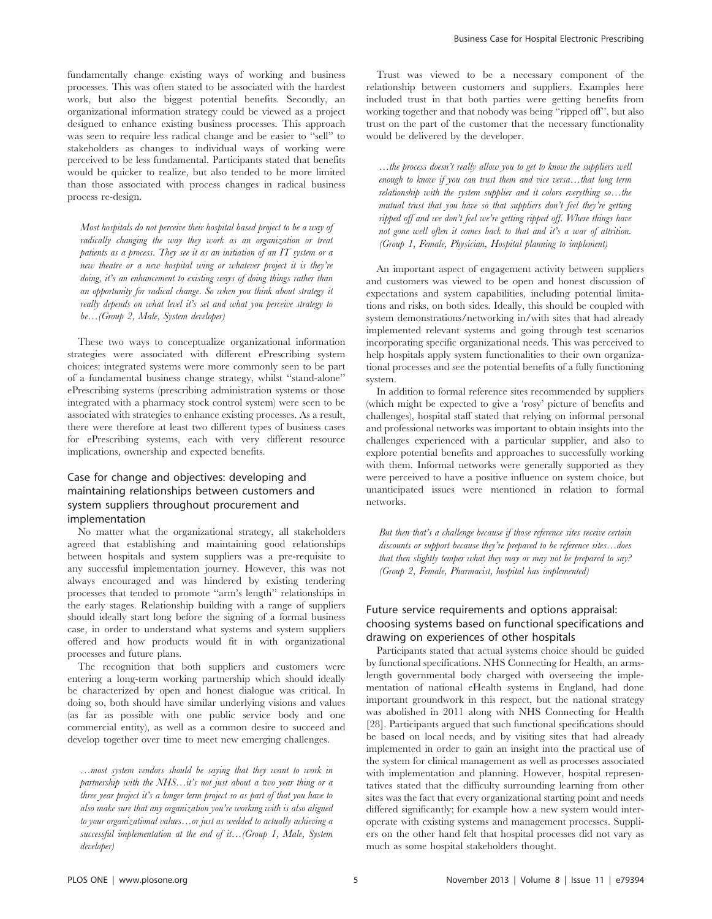fundamentally change existing ways of working and business processes. This was often stated to be associated with the hardest work, but also the biggest potential benefits. Secondly, an organizational information strategy could be viewed as a project designed to enhance existing business processes. This approach was seen to require less radical change and be easier to ''sell'' to stakeholders as changes to individual ways of working were perceived to be less fundamental. Participants stated that benefits would be quicker to realize, but also tended to be more limited than those associated with process changes in radical business process re-design.

Most hospitals do not perceive their hospital based project to be a way of radically changing the way they work as an organization or treat patients as a process. They see it as an initiation of an IT system or a new theatre or a new hospital wing or whatever project it is they're doing, it's an enhancement to existing ways of doing things rather than an opportunity for radical change. So when you think about strategy it really depends on what level it's set and what you perceive strategy to be…(Group 2, Male, System developer)

These two ways to conceptualize organizational information strategies were associated with different ePrescribing system choices: integrated systems were more commonly seen to be part of a fundamental business change strategy, whilst ''stand-alone'' ePrescribing systems (prescribing administration systems or those integrated with a pharmacy stock control system) were seen to be associated with strategies to enhance existing processes. As a result, there were therefore at least two different types of business cases for ePrescribing systems, each with very different resource implications, ownership and expected benefits.

## Case for change and objectives: developing and maintaining relationships between customers and system suppliers throughout procurement and implementation

No matter what the organizational strategy, all stakeholders agreed that establishing and maintaining good relationships between hospitals and system suppliers was a pre-requisite to any successful implementation journey. However, this was not always encouraged and was hindered by existing tendering processes that tended to promote ''arm's length'' relationships in the early stages. Relationship building with a range of suppliers should ideally start long before the signing of a formal business case, in order to understand what systems and system suppliers offered and how products would fit in with organizational processes and future plans.

The recognition that both suppliers and customers were entering a long-term working partnership which should ideally be characterized by open and honest dialogue was critical. In doing so, both should have similar underlying visions and values (as far as possible with one public service body and one commercial entity), as well as a common desire to succeed and develop together over time to meet new emerging challenges.

…most system vendors should be saying that they want to work in partnership with the NHS... it's not just about a two year thing or a three year project it's a longer term project so as part of that you have to also make sure that any organization you're working with is also aligned to your organizational values…or just as wedded to actually achieving a successful implementation at the end of it...(Group 1, Male, System developer)

Trust was viewed to be a necessary component of the relationship between customers and suppliers. Examples here included trust in that both parties were getting benefits from working together and that nobody was being ''ripped off'', but also trust on the part of the customer that the necessary functionality would be delivered by the developer.

…the process doesn't really allow you to get to know the suppliers well enough to know if you can trust them and vice versa…that long term relationship with the system supplier and it colors everything so…the mutual trust that you have so that suppliers don't feel they're getting ripped off and we don't feel we're getting ripped off. Where things have not gone well often it comes back to that and it's a war of attrition. (Group 1, Female, Physician, Hospital planning to implement)

An important aspect of engagement activity between suppliers and customers was viewed to be open and honest discussion of expectations and system capabilities, including potential limitations and risks, on both sides. Ideally, this should be coupled with system demonstrations/networking in/with sites that had already implemented relevant systems and going through test scenarios incorporating specific organizational needs. This was perceived to help hospitals apply system functionalities to their own organizational processes and see the potential benefits of a fully functioning system.

In addition to formal reference sites recommended by suppliers (which might be expected to give a 'rosy' picture of benefits and challenges), hospital staff stated that relying on informal personal and professional networks was important to obtain insights into the challenges experienced with a particular supplier, and also to explore potential benefits and approaches to successfully working with them. Informal networks were generally supported as they were perceived to have a positive influence on system choice, but unanticipated issues were mentioned in relation to formal networks.

But then that's a challenge because if those reference sites receive certain discounts or support because they're prepared to be reference sites…does that then slightly temper what they may or may not be prepared to say? (Group 2, Female, Pharmacist, hospital has implemented)

## Future service requirements and options appraisal: choosing systems based on functional specifications and drawing on experiences of other hospitals

Participants stated that actual systems choice should be guided by functional specifications. NHS Connecting for Health, an armslength governmental body charged with overseeing the implementation of national eHealth systems in England, had done important groundwork in this respect, but the national strategy was abolished in 2011 along with NHS Connecting for Health [28]. Participants argued that such functional specifications should be based on local needs, and by visiting sites that had already implemented in order to gain an insight into the practical use of the system for clinical management as well as processes associated with implementation and planning. However, hospital representatives stated that the difficulty surrounding learning from other sites was the fact that every organizational starting point and needs differed significantly; for example how a new system would interoperate with existing systems and management processes. Suppliers on the other hand felt that hospital processes did not vary as much as some hospital stakeholders thought.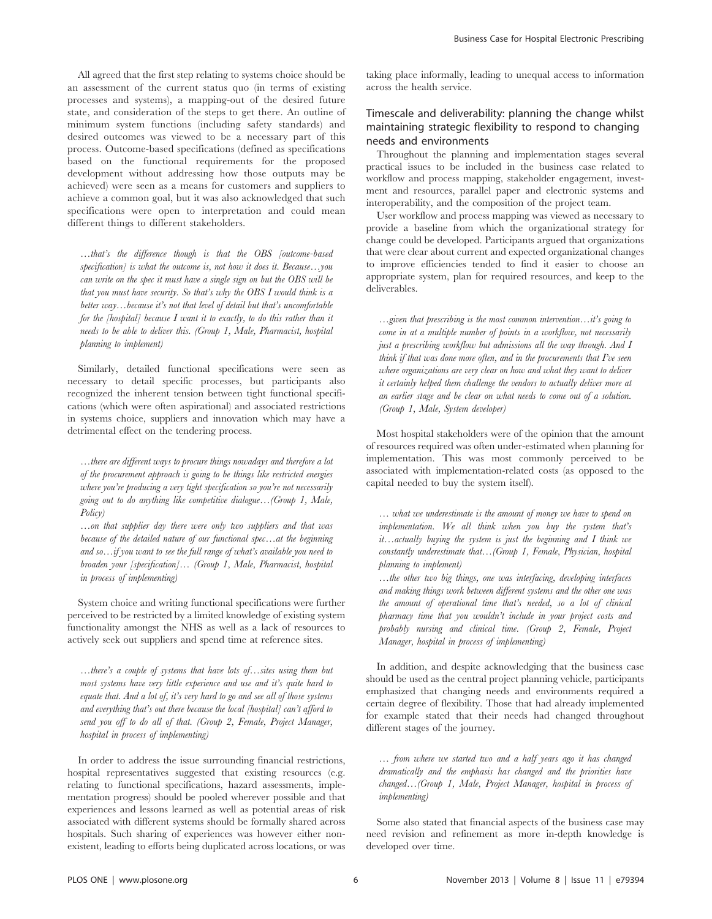All agreed that the first step relating to systems choice should be an assessment of the current status quo (in terms of existing processes and systems), a mapping-out of the desired future state, and consideration of the steps to get there. An outline of minimum system functions (including safety standards) and desired outcomes was viewed to be a necessary part of this process. Outcome-based specifications (defined as specifications based on the functional requirements for the proposed development without addressing how those outputs may be achieved) were seen as a means for customers and suppliers to achieve a common goal, but it was also acknowledged that such specifications were open to interpretation and could mean different things to different stakeholders.

…that's the difference though is that the OBS [outcome-based specification] is what the outcome is, not how it does it. Because...you can write on the spec it must have a single sign on but the OBS will be that you must have security. So that's why the OBS I would think is a better way…because it's not that level of detail but that's uncomfortable for the [hospital] because I want it to exactly, to do this rather than it needs to be able to deliver this. (Group 1, Male, Pharmacist, hospital planning to implement)

Similarly, detailed functional specifications were seen as necessary to detail specific processes, but participants also recognized the inherent tension between tight functional specifications (which were often aspirational) and associated restrictions in systems choice, suppliers and innovation which may have a detrimental effect on the tendering process.

…there are different ways to procure things nowadays and therefore a lot of the procurement approach is going to be things like restricted energies where you're producing a very tight specification so you're not necessarily going out to do anything like competitive dialogue…(Group 1, Male, Policy)

…on that supplier day there were only two suppliers and that was because of the detailed nature of our functional spec…at the beginning and so…if you want to see the full range of what's available you need to broaden your [specification]… (Group 1, Male, Pharmacist, hospital in process of implementing)

System choice and writing functional specifications were further perceived to be restricted by a limited knowledge of existing system functionality amongst the NHS as well as a lack of resources to actively seek out suppliers and spend time at reference sites.

…there's a couple of systems that have lots of…sites using them but most systems have very little experience and use and it's quite hard to equate that. And a lot of, it's very hard to go and see all of those systems and everything that's out there because the local [hospital] can't afford to send you off to do all of that. (Group 2, Female, Project Manager, hospital in process of implementing)

In order to address the issue surrounding financial restrictions, hospital representatives suggested that existing resources (e.g. relating to functional specifications, hazard assessments, implementation progress) should be pooled wherever possible and that experiences and lessons learned as well as potential areas of risk associated with different systems should be formally shared across hospitals. Such sharing of experiences was however either nonexistent, leading to efforts being duplicated across locations, or was taking place informally, leading to unequal access to information across the health service.

## Timescale and deliverability: planning the change whilst maintaining strategic flexibility to respond to changing needs and environments

Throughout the planning and implementation stages several practical issues to be included in the business case related to workflow and process mapping, stakeholder engagement, investment and resources, parallel paper and electronic systems and interoperability, and the composition of the project team.

User workflow and process mapping was viewed as necessary to provide a baseline from which the organizational strategy for change could be developed. Participants argued that organizations that were clear about current and expected organizational changes to improve efficiencies tended to find it easier to choose an appropriate system, plan for required resources, and keep to the deliverables.

…given that prescribing is the most common intervention…it's going to come in at a multiple number of points in a workflow, not necessarily just a prescribing workflow but admissions all the way through. And I think if that was done more often, and in the procurements that I've seen where organizations are very clear on how and what they want to deliver it certainly helped them challenge the vendors to actually deliver more at an earlier stage and be clear on what needs to come out of a solution. (Group 1, Male, System developer)

Most hospital stakeholders were of the opinion that the amount of resources required was often under-estimated when planning for implementation. This was most commonly perceived to be associated with implementation-related costs (as opposed to the capital needed to buy the system itself).

… what we underestimate is the amount of money we have to spend on implementation. We all think when you buy the system that's it...actually buying the system is just the beginning and  $I$  think we constantly underestimate that…(Group 1, Female, Physician, hospital planning to implement)

…the other two big things, one was interfacing, developing interfaces and making things work between different systems and the other one was the amount of operational time that's needed, so a lot of clinical pharmacy time that you wouldn't include in your project costs and probably nursing and clinical time. (Group 2, Female, Project Manager, hospital in process of implementing)

In addition, and despite acknowledging that the business case should be used as the central project planning vehicle, participants emphasized that changing needs and environments required a certain degree of flexibility. Those that had already implemented for example stated that their needs had changed throughout different stages of the journey.

… from where we started two and a half years ago it has changed dramatically and the emphasis has changed and the priorities have changed…(Group 1, Male, Project Manager, hospital in process of implementing)

Some also stated that financial aspects of the business case may need revision and refinement as more in-depth knowledge is developed over time.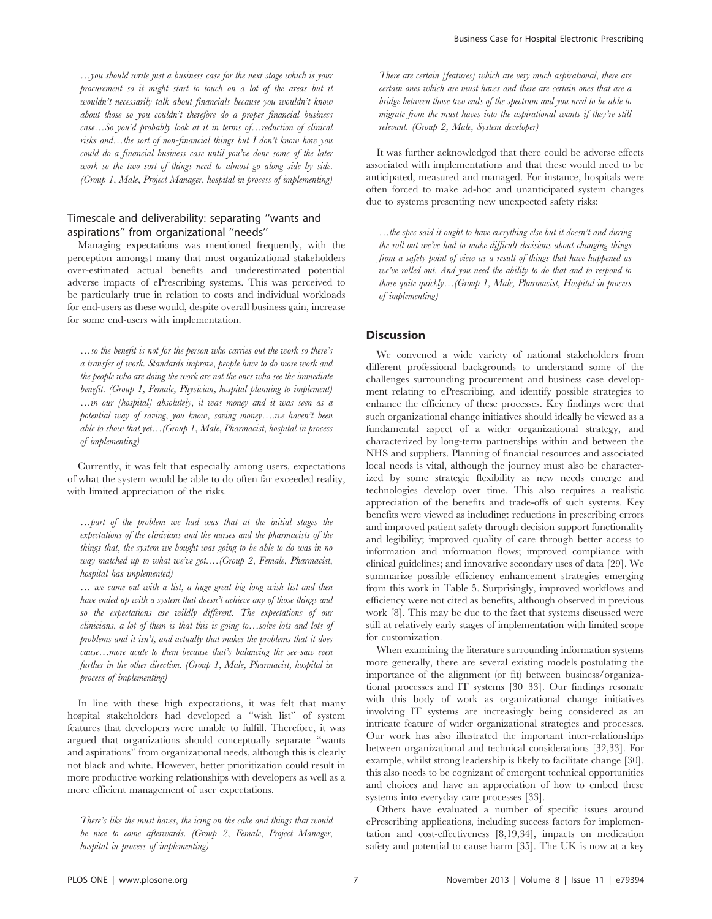…you should write just a business case for the next stage which is your procurement so it might start to touch on a lot of the areas but it wouldn't necessarily talk about financials because you wouldn't know about those so you couldn't therefore do a proper financial business case…So you'd probably look at it in terms of…reduction of clinical risks and...the sort of non-financial things but I don't know how you could do a financial business case until you've done some of the later work so the two sort of things need to almost go along side by side. (Group 1, Male, Project Manager, hospital in process of implementing)

### Timescale and deliverability: separating ''wants and aspirations'' from organizational ''needs''

Managing expectations was mentioned frequently, with the perception amongst many that most organizational stakeholders over-estimated actual benefits and underestimated potential adverse impacts of ePrescribing systems. This was perceived to be particularly true in relation to costs and individual workloads for end-users as these would, despite overall business gain, increase for some end-users with implementation.

…so the benefit is not for the person who carries out the work so there's a transfer of work. Standards improve, people have to do more work and the people who are doing the work are not the ones who see the immediate benefit. (Group 1, Female, Physician, hospital planning to implement) …in our [hospital] absolutely, it was money and it was seen as a potential way of saving, you know, saving money….we haven't been able to show that  $yet...$  (Group 1, Male, Pharmacist, hospital in process of implementing)

Currently, it was felt that especially among users, expectations of what the system would be able to do often far exceeded reality, with limited appreciation of the risks.

…part of the problem we had was that at the initial stages the expectations of the clinicians and the nurses and the pharmacists of the things that, the system we bought was going to be able to do was in no way matched up to what we've got.…(Group 2, Female, Pharmacist, hospital has implemented)

… we came out with a list, a huge great big long wish list and then have ended up with a system that doesn't achieve any of those things and so the expectations are wildly different. The expectations of our clinicians, a lot of them is that this is going to…solve lots and lots of problems and it isn't, and actually that makes the problems that it does cause…more acute to them because that's balancing the see-saw even further in the other direction. (Group 1, Male, Pharmacist, hospital in process of implementing)

In line with these high expectations, it was felt that many hospital stakeholders had developed a ''wish list'' of system features that developers were unable to fulfill. Therefore, it was argued that organizations should conceptually separate ''wants and aspirations'' from organizational needs, although this is clearly not black and white. However, better prioritization could result in more productive working relationships with developers as well as a more efficient management of user expectations.

There's like the must haves, the icing on the cake and things that would be nice to come afterwards. (Group 2, Female, Project Manager, hospital in process of implementing)

There are certain [features] which are very much aspirational, there are certain ones which are must haves and there are certain ones that are a bridge between those two ends of the spectrum and you need to be able to migrate from the must haves into the aspirational wants if they're still relevant. (Group 2, Male, System developer)

It was further acknowledged that there could be adverse effects associated with implementations and that these would need to be anticipated, measured and managed. For instance, hospitals were often forced to make ad-hoc and unanticipated system changes due to systems presenting new unexpected safety risks:

…the spec said it ought to have everything else but it doesn't and during the roll out we've had to make difficult decisions about changing things from a safety point of view as a result of things that have happened as we've rolled out. And you need the ability to do that and to respond to those quite quickly…(Group 1, Male, Pharmacist, Hospital in process of implementing)

### **Discussion**

We convened a wide variety of national stakeholders from different professional backgrounds to understand some of the challenges surrounding procurement and business case development relating to ePrescribing, and identify possible strategies to enhance the efficiency of these processes. Key findings were that such organizational change initiatives should ideally be viewed as a fundamental aspect of a wider organizational strategy, and characterized by long-term partnerships within and between the NHS and suppliers. Planning of financial resources and associated local needs is vital, although the journey must also be characterized by some strategic flexibility as new needs emerge and technologies develop over time. This also requires a realistic appreciation of the benefits and trade-offs of such systems. Key benefits were viewed as including: reductions in prescribing errors and improved patient safety through decision support functionality and legibility; improved quality of care through better access to information and information flows; improved compliance with clinical guidelines; and innovative secondary uses of data [29]. We summarize possible efficiency enhancement strategies emerging from this work in Table 5. Surprisingly, improved workflows and efficiency were not cited as benefits, although observed in previous work [8]. This may be due to the fact that systems discussed were still at relatively early stages of implementation with limited scope for customization.

When examining the literature surrounding information systems more generally, there are several existing models postulating the importance of the alignment (or fit) between business/organizational processes and IT systems [30–33]. Our findings resonate with this body of work as organizational change initiatives involving IT systems are increasingly being considered as an intricate feature of wider organizational strategies and processes. Our work has also illustrated the important inter-relationships between organizational and technical considerations [32,33]. For example, whilst strong leadership is likely to facilitate change [30], this also needs to be cognizant of emergent technical opportunities and choices and have an appreciation of how to embed these systems into everyday care processes [33].

Others have evaluated a number of specific issues around ePrescribing applications, including success factors for implementation and cost-effectiveness [8,19,34], impacts on medication safety and potential to cause harm [35]. The UK is now at a key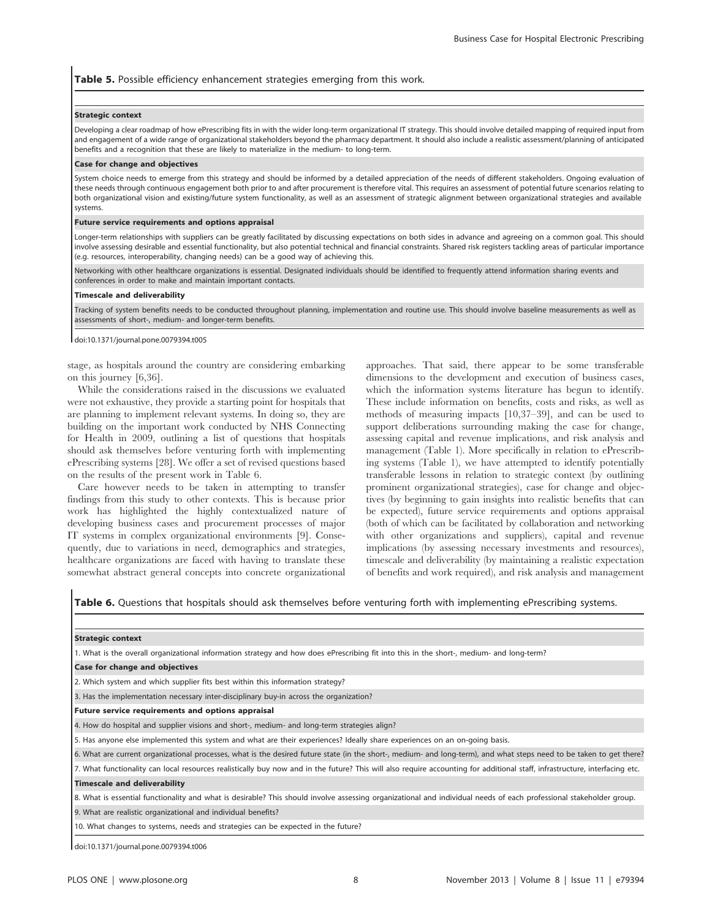#### Table 5. Possible efficiency enhancement strategies emerging from this work.

#### Strategic context

Developing a clear roadmap of how ePrescribing fits in with the wider long-term organizational IT strategy. This should involve detailed mapping of required input from and engagement of a wide range of organizational stakeholders beyond the pharmacy department. It should also include a realistic assessment/planning of anticipated benefits and a recognition that these are likely to materialize in the medium- to long-term.

#### Case for change and objectives

System choice needs to emerge from this strategy and should be informed by a detailed appreciation of the needs of different stakeholders. Ongoing evaluation of these needs through continuous engagement both prior to and after procurement is therefore vital. This requires an assessment of potential future scenarios relating to both organizational vision and existing/future system functionality, as well as an assessment of strategic alignment between organizational strategies and available systems.

#### Future service requirements and options appraisal

Longer-term relationships with suppliers can be greatly facilitated by discussing expectations on both sides in advance and agreeing on a common goal. This should involve assessing desirable and essential functionality, but also potential technical and financial constraints. Shared risk registers tackling areas of particular importance (e.g. resources, interoperability, changing needs) can be a good way of achieving this.

Networking with other healthcare organizations is essential. Designated individuals should be identified to frequently attend information sharing events and conferences in order to make and maintain important contacts.

#### Timescale and deliverability

Tracking of system benefits needs to be conducted throughout planning, implementation and routine use. This should involve baseline measurements as well as assessments of short-, medium- and longer-term benefits.

doi:10.1371/journal.pone.0079394.t005

stage, as hospitals around the country are considering embarking on this journey [6,36].

While the considerations raised in the discussions we evaluated were not exhaustive, they provide a starting point for hospitals that are planning to implement relevant systems. In doing so, they are building on the important work conducted by NHS Connecting for Health in 2009, outlining a list of questions that hospitals should ask themselves before venturing forth with implementing ePrescribing systems [28]. We offer a set of revised questions based on the results of the present work in Table 6.

Care however needs to be taken in attempting to transfer findings from this study to other contexts. This is because prior work has highlighted the highly contextualized nature of developing business cases and procurement processes of major IT systems in complex organizational environments [9]. Consequently, due to variations in need, demographics and strategies, healthcare organizations are faced with having to translate these somewhat abstract general concepts into concrete organizational

approaches. That said, there appear to be some transferable dimensions to the development and execution of business cases, which the information systems literature has begun to identify. These include information on benefits, costs and risks, as well as methods of measuring impacts [10,37–39], and can be used to support deliberations surrounding making the case for change, assessing capital and revenue implications, and risk analysis and management (Table 1). More specifically in relation to ePrescribing systems (Table 1), we have attempted to identify potentially transferable lessons in relation to strategic context (by outlining prominent organizational strategies), case for change and objectives (by beginning to gain insights into realistic benefits that can be expected), future service requirements and options appraisal (both of which can be facilitated by collaboration and networking with other organizations and suppliers), capital and revenue implications (by assessing necessary investments and resources), timescale and deliverability (by maintaining a realistic expectation of benefits and work required), and risk analysis and management

Table 6. Questions that hospitals should ask themselves before venturing forth with implementing ePrescribing systems.

| <b>Strategic context</b>                                                                                                                                                    |
|-----------------------------------------------------------------------------------------------------------------------------------------------------------------------------|
| 1. What is the overall organizational information strategy and how does ePrescribing fit into this in the short-, medium- and long-term?                                    |
| <b>Case for change and objectives</b>                                                                                                                                       |
| 2. Which system and which supplier fits best within this information strategy?                                                                                              |
| 3. Has the implementation necessary inter-disciplinary buy-in across the organization?                                                                                      |
| Future service requirements and options appraisal                                                                                                                           |
| 4. How do hospital and supplier visions and short-, medium- and long-term strategies align?                                                                                 |
| 5. Has anyone else implemented this system and what are their experiences? Ideally share experiences on an on-going basis.                                                  |
| 6. What are current organizational processes, what is the desired future state (in the short-, medium- and long-term), and what steps need to be taken to get there?        |
| 7. What functionality can local resources realistically buy now and in the future? This will also require accounting for additional staff, infrastructure, interfacing etc. |
| <b>Timescale and deliverability</b>                                                                                                                                         |
| 8. What is essential functionality and what is desirable? This should involve assessing organizational and individual needs of each professional stakeholder group.         |
| 9. What are realistic organizational and individual benefits?                                                                                                               |

10. What changes to systems, needs and strategies can be expected in the future?

doi:10.1371/journal.pone.0079394.t006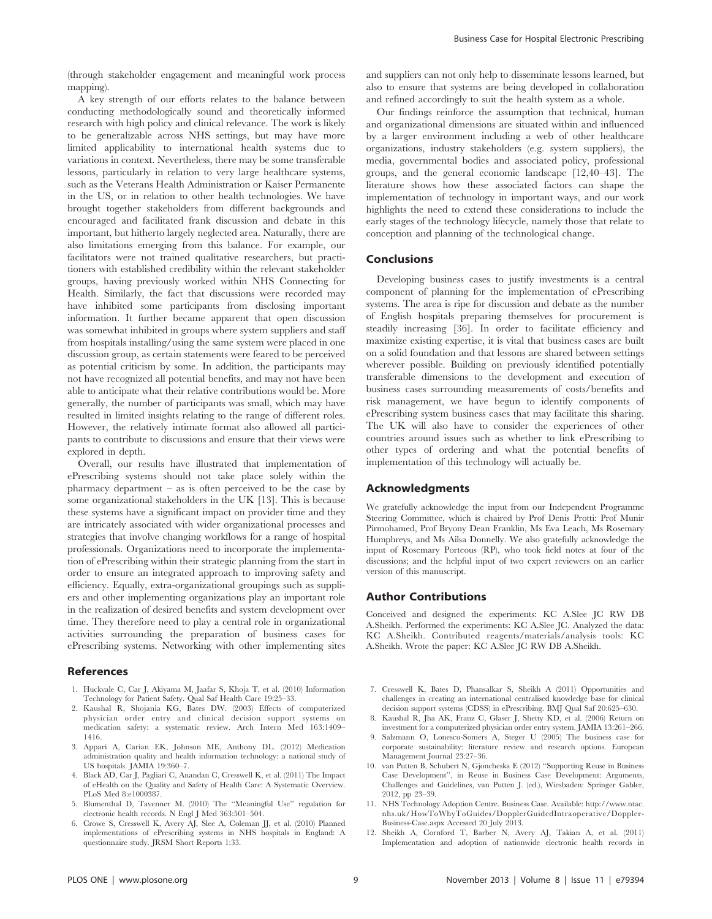(through stakeholder engagement and meaningful work process mapping).

A key strength of our efforts relates to the balance between conducting methodologically sound and theoretically informed research with high policy and clinical relevance. The work is likely to be generalizable across NHS settings, but may have more limited applicability to international health systems due to variations in context. Nevertheless, there may be some transferable lessons, particularly in relation to very large healthcare systems, such as the Veterans Health Administration or Kaiser Permanente in the US, or in relation to other health technologies. We have brought together stakeholders from different backgrounds and encouraged and facilitated frank discussion and debate in this important, but hitherto largely neglected area. Naturally, there are also limitations emerging from this balance. For example, our facilitators were not trained qualitative researchers, but practitioners with established credibility within the relevant stakeholder groups, having previously worked within NHS Connecting for Health. Similarly, the fact that discussions were recorded may have inhibited some participants from disclosing important information. It further became apparent that open discussion was somewhat inhibited in groups where system suppliers and staff from hospitals installing/using the same system were placed in one discussion group, as certain statements were feared to be perceived as potential criticism by some. In addition, the participants may not have recognized all potential benefits, and may not have been able to anticipate what their relative contributions would be. More generally, the number of participants was small, which may have resulted in limited insights relating to the range of different roles. However, the relatively intimate format also allowed all participants to contribute to discussions and ensure that their views were explored in depth.

Overall, our results have illustrated that implementation of ePrescribing systems should not take place solely within the pharmacy department – as is often perceived to be the case by some organizational stakeholders in the UK [13]. This is because these systems have a significant impact on provider time and they are intricately associated with wider organizational processes and strategies that involve changing workflows for a range of hospital professionals. Organizations need to incorporate the implementation of ePrescribing within their strategic planning from the start in order to ensure an integrated approach to improving safety and efficiency. Equally, extra-organizational groupings such as suppliers and other implementing organizations play an important role in the realization of desired benefits and system development over time. They therefore need to play a central role in organizational activities surrounding the preparation of business cases for ePrescribing systems. Networking with other implementing sites

#### References

- 1. Huckvale C, Car J, Akiyama M, Jaafar S, Khoja T, et al. (2010) Information Technology for Patient Safety. Qual Saf Health Care 19:25–33.
- 2. Kaushal R, Shojania KG, Bates DW. (2003) Effects of computerized physician order entry and clinical decision support systems on medication safety: a systematic review. Arch Intern Med 163:1409– 1416.
- 3. Appari A, Carian EK, Johnson ME, Anthony DL. (2012) Medication administration quality and health information technology: a national study of US hospitals. JAMIA 19:360–7.
- 4. Black AD, Car J, Pagliari C, Anandan C, Cresswell K, et al. (2011) The Impact of eHealth on the Quality and Safety of Health Care: A Systematic Overview. PLoS Med 8:e1000387.
- 5. Blumenthal D, Tavenner M. (2010) The ''Meaningful Use'' regulation for electronic health records. N Engl J Med 363:501–504.
- 6. Crowe S, Cresswell K, Avery AJ, Slee A, Coleman JJ, et al. (2010) Planned implementations of ePrescribing systems in NHS hospitals in England: A questionnaire study. JRSM Short Reports 1:33.

and suppliers can not only help to disseminate lessons learned, but also to ensure that systems are being developed in collaboration and refined accordingly to suit the health system as a whole.

Our findings reinforce the assumption that technical, human and organizational dimensions are situated within and influenced by a larger environment including a web of other healthcare organizations, industry stakeholders (e.g. system suppliers), the media, governmental bodies and associated policy, professional groups, and the general economic landscape [12,40–43]. The literature shows how these associated factors can shape the implementation of technology in important ways, and our work highlights the need to extend these considerations to include the early stages of the technology lifecycle, namely those that relate to conception and planning of the technological change.

#### Conclusions

Developing business cases to justify investments is a central component of planning for the implementation of ePrescribing systems. The area is ripe for discussion and debate as the number of English hospitals preparing themselves for procurement is steadily increasing [36]. In order to facilitate efficiency and maximize existing expertise, it is vital that business cases are built on a solid foundation and that lessons are shared between settings wherever possible. Building on previously identified potentially transferable dimensions to the development and execution of business cases surrounding measurements of costs/benefits and risk management, we have begun to identify components of ePrescribing system business cases that may facilitate this sharing. The UK will also have to consider the experiences of other countries around issues such as whether to link ePrescribing to other types of ordering and what the potential benefits of implementation of this technology will actually be.

#### Acknowledgments

We gratefully acknowledge the input from our Independent Programme Steering Committee, which is chaired by Prof Denis Protti: Prof Munir Pirmohamed, Prof Bryony Dean Franklin, Ms Eva Leach, Ms Rosemary Humphreys, and Ms Ailsa Donnelly. We also gratefully acknowledge the input of Rosemary Porteous (RP), who took field notes at four of the discussions; and the helpful input of two expert reviewers on an earlier version of this manuscript.

#### Author Contributions

Conceived and designed the experiments: KC A.Slee JC RW DB A.Sheikh. Performed the experiments: KC A.Slee JC. Analyzed the data: KC A.Sheikh. Contributed reagents/materials/analysis tools: KC A.Sheikh. Wrote the paper: KC A.Slee JC RW DB A.Sheikh.

- 7. Cresswell K, Bates D, Phansalkar S, Sheikh A (2011) Opportunities and challenges in creating an international centralised knowledge base for clinical decision support systems (CDSS) in ePrescribing. BMJ Qual Saf 20:625–630.
- 8. Kaushal R, Jha AK, Franz C, Glaser J, Shetty KD, et al. (2006) Return on investment for a computerized physician order entry system. JAMIA 13:261–266.
- 9. Salzmann O, Lonescu-Somers A, Steger U (2005) The business case for corporate sustainability: literature review and research options. European Management Journal 23:27–36.
- 10. van Putten B, Schubert N, Gjoncheska E (2012) ''Supporting Reuse in Business Case Development'', in Reuse in Business Case Development: Arguments, Challenges and Guidelines, van Putten J. (ed.), Wiesbaden: Springer Gabler, 2012, pp 23–39.
- 11. NHS Technology Adoption Centre. Business Case. Available: http://www.ntac. nhs.uk/HowToWhyToGuides/DopplerGuidedIntraoperative/Doppler-Business-Case.aspx Accessed 20 July 2013.
- 12. Sheikh A, Cornford T, Barber N, Avery AJ, Takian A, et al. (2011) Implementation and adoption of nationwide electronic health records in